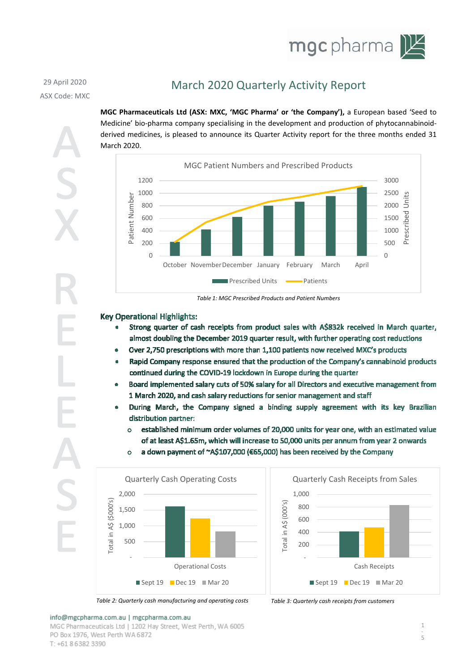

## 29 April 2020 ASX Code: MXC

# March 2020 Quarterly Activity Report

**MGC Pharmaceuticals Ltd (ASX: MXC, 'MGC Pharma' or 'the Company'),** a European based 'Seed to Medicine' bio-pharma company specialising in the development and production of phytocannabinoidderived medicines, is pleased to announce its Quarter Activity report for the three months ended 31 March 2020.



*Table 1: MGC Prescribed Products and Patient Numbers*

### **Key Operational Highlights:**

- Strong quarter of cash receipts from product sales with A\$832k received in March quarter, almost doubling the December 2019 quarter result, with further operating cost reductions
- Over 2,750 prescriptions with more than 1,100 patients now received MXC's products
- Rapid Company response ensured that the production of the Company's cannabinoid products continued during the COVID-19 lockdown in Europe during the quarter
- Board implemented salary cuts of 50% salary for all Directors and executive management from 1 March 2020, and cash salary reductions for senior management and staff
- During March, the Company signed a binding supply agreement with its key Brazilian distribution partner:
	- established minimum order volumes of 20,000 units for year one, with an estimated value of at least A\$1.65m, which will increase to 50,000 units per annum from year 2 onwards
	- a down payment of ~A\$107,000 (€65,000) has been received by the Company  $\circ$





*Table 2: Quarterly cash manufacturing and operating costs Table 3: Quarterly cash receipts from customers*



## info@mgcpharma.com.au | mgcpharma.com.au

MGC Pharmaceuticals Ltd | 1202 Hav Street, West Perth, WA 6005 PO Box 1976, West Perth WA 6872 T: +61 8 6 3 8 2 3 3 9 0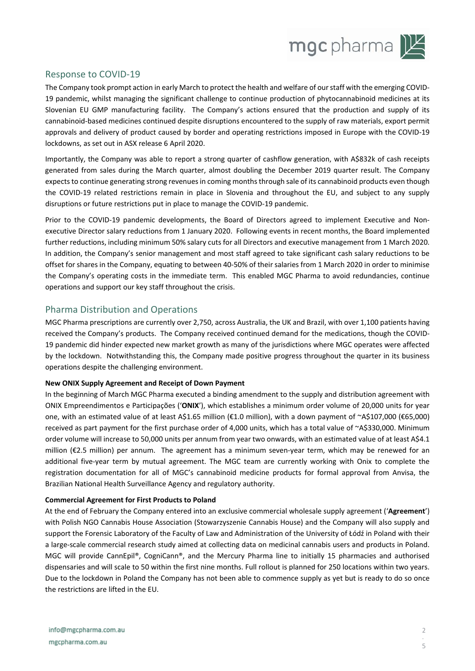

## Response to COVID-19

The Company took prompt action in early March to protect the health and welfare of our staff with the emerging COVID-19 pandemic, whilst managing the significant challenge to continue production of phytocannabinoid medicines at its Slovenian EU GMP manufacturing facility. The Company's actions ensured that the production and supply of its cannabinoid-based medicines continued despite disruptions encountered to the supply of raw materials, export permit approvals and delivery of product caused by border and operating restrictions imposed in Europe with the COVID-19 lockdowns, as set out in ASX release 6 April 2020.

Importantly, the Company was able to report a strong quarter of cashflow generation, with A\$832k of cash receipts generated from sales during the March quarter, almost doubling the December 2019 quarter result. The Company expects to continue generating strong revenues in coming months through sale of its cannabinoid products even though the COVID-19 related restrictions remain in place in Slovenia and throughout the EU, and subject to any supply disruptions or future restrictions put in place to manage the COVID-19 pandemic.

Prior to the COVID-19 pandemic developments, the Board of Directors agreed to implement Executive and Nonexecutive Director salary reductions from 1 January 2020. Following events in recent months, the Board implemented further reductions, including minimum 50% salary cuts for all Directors and executive management from 1 March 2020. In addition, the Company's senior management and most staff agreed to take significant cash salary reductions to be offset for shares in the Company, equating to between 40-50% of their salaries from 1 March 2020 in order to minimise the Company's operating costs in the immediate term. This enabled MGC Pharma to avoid redundancies, continue operations and support our key staff throughout the crisis.

## Pharma Distribution and Operations

MGC Pharma prescriptions are currently over 2,750, across Australia, the UK and Brazil, with over 1,100 patients having received the Company's products. The Company received continued demand for the medications, though the COVID-19 pandemic did hinder expected new market growth as many of the jurisdictions where MGC operates were affected by the lockdown. Notwithstanding this, the Company made positive progress throughout the quarter in its business operations despite the challenging environment.

#### **New ONIX Supply Agreement and Receipt of Down Payment**

In the beginning of March MGC Pharma executed a binding amendment to the supply and distribution agreement with ONIX Empreendimentos e Participações ('**ONIX**'), which establishes a minimum order volume of 20,000 units for year one, with an estimated value of at least A\$1.65 million (€1.0 million), with a down payment of ~A\$107,000 (€65,000) received as part payment for the first purchase order of 4,000 units, which has a total value of ~A\$330,000. Minimum order volume will increase to 50,000 units per annum from year two onwards, with an estimated value of at least A\$4.1 million (€2.5 million) per annum. The agreement has a minimum seven-year term, which may be renewed for an additional five-year term by mutual agreement. The MGC team are currently working with Onix to complete the registration documentation for all of MGC's cannabinoid medicine products for formal approval from Anvisa, the Brazilian National Health Surveillance Agency and regulatory authority.

#### **Commercial Agreement for First Products to Poland**

At the end of February the Company entered into an exclusive commercial wholesale supply agreement ('**Agreement**') with Polish NGO Cannabis House Association (Stowarzyszenie Cannabis House) and the Company will also supply and support the Forensic Laboratory of the Faculty of Law and Administration of the University of Łódź in Poland with their a large-scale commercial research study aimed at collecting data on medicinal cannabis users and products in Poland. MGC will provide CannEpil®, CogniCann®, and the Mercury Pharma line to initially 15 pharmacies and authorised dispensaries and will scale to 50 within the first nine months. Full rollout is planned for 250 locations within two years. Due to the lockdown in Poland the Company has not been able to commence supply as yet but is ready to do so once the restrictions are lifted in the EU.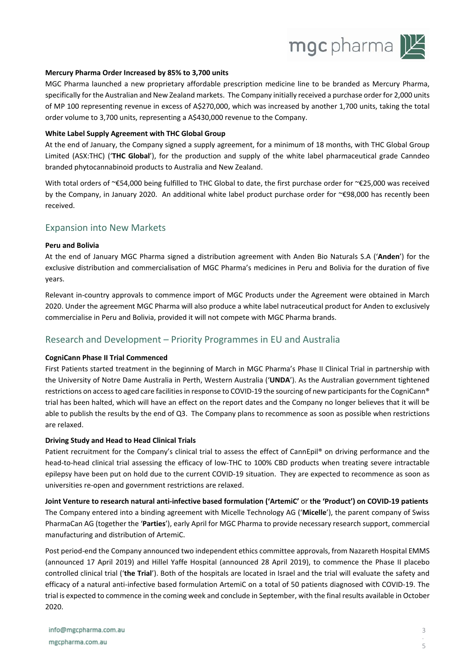

#### **Mercury Pharma Order Increased by 85% to 3,700 units**

MGC Pharma launched a new proprietary affordable prescription medicine line to be branded as Mercury Pharma, specifically for the Australian and New Zealand markets. The Company initially received a purchase order for 2,000 units of MP 100 representing revenue in excess of A\$270,000, which was increased by another 1,700 units, taking the total order volume to 3,700 units, representing a A\$430,000 revenue to the Company.

#### **White Label Supply Agreement with THC Global Group**

At the end of January, the Company signed a supply agreement, for a minimum of 18 months, with THC Global Group Limited (ASX:THC) ('**THC Global**'), for the production and supply of the white label pharmaceutical grade Canndeo branded phytocannabinoid products to Australia and New Zealand.

With total orders of ~€54,000 being fulfilled to THC Global to date, the first purchase order for ~€25,000 was received by the Company, in January 2020. An additional white label product purchase order for ~€98,000 has recently been received.

### Expansion into New Markets

#### **Peru and Bolivia**

At the end of January MGC Pharma signed a distribution agreement with Anden Bio Naturals S.A ('**Anden**') for the exclusive distribution and commercialisation of MGC Pharma's medicines in Peru and Bolivia for the duration of five years.

Relevant in-country approvals to commence import of MGC Products under the Agreement were obtained in March 2020. Under the agreement MGC Pharma will also produce a white label nutraceutical product for Anden to exclusively commercialise in Peru and Bolivia, provided it will not compete with MGC Pharma brands.

## Research and Development – Priority Programmes in EU and Australia

#### **CogniCann Phase II Trial Commenced**

First Patients started treatment in the beginning of March in MGC Pharma's Phase II Clinical Trial in partnership with the University of Notre Dame Australia in Perth, Western Australia ('**UNDA**'). As the Australian government tightened restrictions on access to aged care facilities in response to COVID-19 the sourcing of new participants for the CogniCann® trial has been halted, which will have an effect on the report dates and the Company no longer believes that it will be able to publish the results by the end of Q3. The Company plans to recommence as soon as possible when restrictions are relaxed.

#### **Driving Study and Head to Head Clinical Trials**

Patient recruitment for the Company's clinical trial to assess the effect of CannEpil® on driving performance and the head-to-head clinical trial assessing the efficacy of low-THC to 100% CBD products when treating severe intractable epilepsy have been put on hold due to the current COVID-19 situation. They are expected to recommence as soon as universities re-open and government restrictions are relaxed.

**Joint Venture to research natural anti-infective based formulation ('ArtemiC'** or **the 'Product') on COVID-19 patients**  The Company entered into a binding agreement with Micelle Technology AG ('**Micelle**'), the parent company of Swiss PharmaCan AG (together the '**Parties**'), early April for MGC Pharma to provide necessary research support, commercial manufacturing and distribution of ArtemiC.

Post period-end the Company announced two independent ethics committee approvals, from Nazareth Hospital EMMS (announced 17 April 2019) and Hillel Yaffe Hospital (announced 28 April 2019), to commence the Phase II placebo controlled clinical trial ('**the Trial**'). Both of the hospitals are located in Israel and the trial will evaluate the safety and efficacy of a natural anti-infective based formulation ArtemiC on a total of 50 patients diagnosed with COVID-19. The trial is expected to commence in the coming week and conclude in September, with the final results available in October 2020.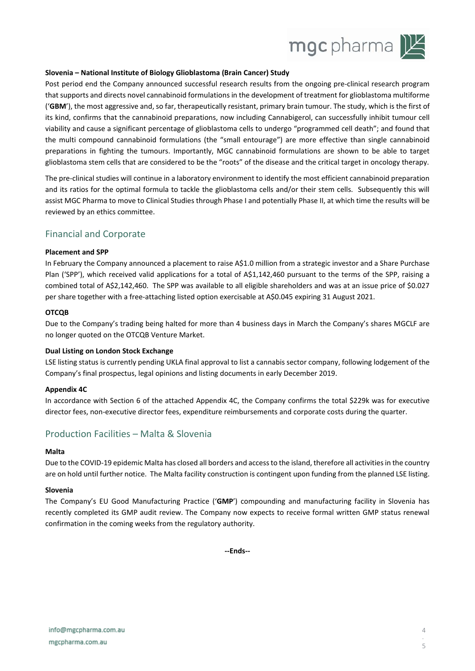

#### **Slovenia – National Institute of Biology Glioblastoma (Brain Cancer) Study**

Post period end the Company announced successful research results from the ongoing pre-clinical research program that supports and directs novel cannabinoid formulations in the development of treatment for glioblastoma multiforme ('**GBM**'), the most aggressive and, so far, therapeutically resistant, primary brain tumour. The study, which is the first of its kind, confirms that the cannabinoid preparations, now including Cannabigerol, can successfully inhibit tumour cell viability and cause a significant percentage of glioblastoma cells to undergo "programmed cell death"; and found that the multi compound cannabinoid formulations (the "small entourage") are more effective than single cannabinoid preparations in fighting the tumours. Importantly, MGC cannabinoid formulations are shown to be able to target glioblastoma stem cells that are considered to be the "roots" of the disease and the critical target in oncology therapy.

The pre-clinical studies will continue in a laboratory environment to identify the most efficient cannabinoid preparation and its ratios for the optimal formula to tackle the glioblastoma cells and/or their stem cells. Subsequently this will assist MGC Pharma to move to Clinical Studies through Phase I and potentially Phase II, at which time the results will be reviewed by an ethics committee.

### Financial and Corporate

#### **Placement and SPP**

In February the Company announced a placement to raise A\$1.0 million from a strategic investor and a Share Purchase Plan ('SPP'), which received valid applications for a total of A\$1,142,460 pursuant to the terms of the SPP, raising a combined total of A\$2,142,460. The SPP was available to all eligible shareholders and was at an issue price of \$0.027 per share together with a free-attaching listed option exercisable at A\$0.045 expiring 31 August 2021.

#### **OTCQB**

Due to the Company's trading being halted for more than 4 business days in March the Company's shares MGCLF are no longer quoted on the OTCQB Venture Market.

#### **Dual Listing on London Stock Exchange**

LSE listing status is currently pending UKLA final approval to list a cannabis sector company, following lodgement of the Company's final prospectus, legal opinions and listing documents in early December 2019.

#### **Appendix 4C**

In accordance with Section 6 of the attached Appendix 4C, the Company confirms the total \$229k was for executive director fees, non-executive director fees, expenditure reimbursements and corporate costs during the quarter.

## Production Facilities – Malta & Slovenia

#### **Malta**

Due to the COVID-19 epidemic Malta has closed all borders and access to the island, therefore all activities in the country are on hold until further notice. The Malta facility construction is contingent upon funding from the planned LSE listing.

#### **Slovenia**

The Company's EU Good Manufacturing Practice ('**GMP**') compounding and manufacturing facility in Slovenia has recently completed its GMP audit review. The Company now expects to receive formal written GMP status renewal confirmation in the coming weeks from the regulatory authority.

**--Ends--**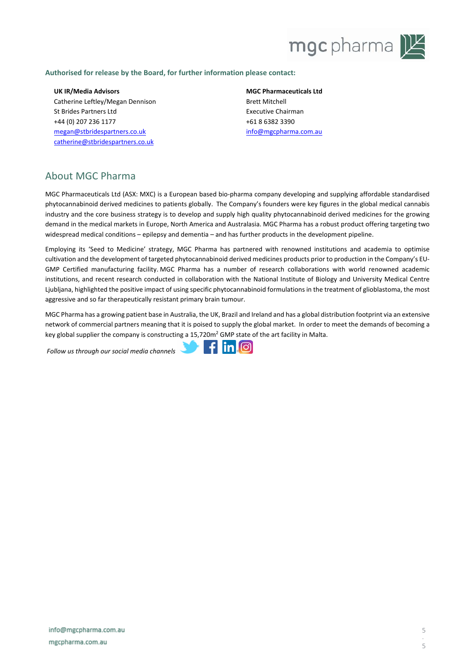

#### **Authorised for release by the Board, for further information please contact:**

**UK IR/Media Advisors** Catherine Leftley/Megan Dennison St Brides Partners Ltd +44 (0) 207 236 1177 [megan@stbridespartners.co.uk](mailto:megan@stbridespartners.co.uk) [catherine@stbridespartners.co.uk](mailto:catherine@stbridespartners.co.uk)

**MGC Pharmaceuticals Ltd** Brett Mitchell Executive Chairman +61 8 6382 3390 [info@mgcpharma.com.au](mailto:info@mgcpharma.com.au)

## About MGC Pharma

MGC Pharmaceuticals Ltd (ASX: MXC) is a European based bio-pharma company developing and supplying affordable standardised phytocannabinoid derived medicines to patients globally. The Company's founders were key figures in the global medical cannabis industry and the core business strategy is to develop and supply high quality phytocannabinoid derived medicines for the growing demand in the medical markets in Europe, North America and Australasia. MGC Pharma has a robust product offering targeting two widespread medical conditions – epilepsy and dementia – and has further products in the development pipeline.

Employing its 'Seed to Medicine' strategy, MGC Pharma has partnered with renowned institutions and academia to optimise cultivation and the development of targeted phytocannabinoid derived medicines products prior to production in the Company's EU-GMP Certified manufacturing facility. MGC Pharma has a number of research collaborations with world renowned academic institutions, and recent research conducted in collaboration with the National Institute of Biology and University Medical Centre Ljubljana, highlighted the positive impact of using specific phytocannabinoid formulations in the treatment of glioblastoma, the most aggressive and so far therapeutically resistant primary brain tumour.

MGC Pharma has a growing patient base in Australia, the UK, Brazil and Ireland and has a global distribution footprint via an extensive network of commercial partners meaning that it is poised to supply the global market. In order to meet the demands of becoming a key global supplier the company is constructing a 15,720m<sup>2</sup> GMP state of the art facility in Malta.

*Follow us through our social media channels*

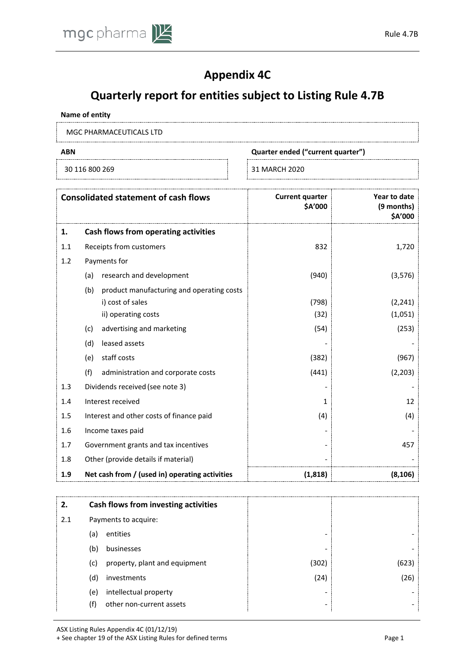

# **Appendix 4C**

# **Quarterly report for entities subject to Listing Rule 4.7B**

#### **Name of entity**

MGC PHARMACEUTICALS LTD

30 116 800 269 31 MARCH 2020

**ABN Quarter ended ("current quarter")**

|     | <b>Consolidated statement of cash flows</b>      | <b>Current quarter</b><br><b>SA'000</b> | Year to date<br>(9 months)<br><b>SA'000</b> |
|-----|--------------------------------------------------|-----------------------------------------|---------------------------------------------|
| 1.  | Cash flows from operating activities             |                                         |                                             |
| 1.1 | Receipts from customers                          | 832                                     | 1,720                                       |
| 1.2 | Payments for                                     |                                         |                                             |
|     | research and development<br>(a)                  | (940)                                   | (3,576)                                     |
|     | (b)<br>product manufacturing and operating costs |                                         |                                             |
|     | i) cost of sales                                 | (798)                                   | (2, 241)                                    |
|     | ii) operating costs                              | (32)                                    | (1,051)                                     |
|     | advertising and marketing<br>(c)                 | (54)                                    | (253)                                       |
|     | (d)<br>leased assets                             |                                         |                                             |
|     | staff costs<br>(e)                               | (382)                                   | (967)                                       |
|     | (f)<br>administration and corporate costs        | (441)                                   | (2, 203)                                    |
| 1.3 | Dividends received (see note 3)                  |                                         |                                             |
| 1.4 | Interest received                                | 1                                       | 12                                          |
| 1.5 | Interest and other costs of finance paid         | (4)                                     | (4)                                         |
| 1.6 | Income taxes paid                                |                                         |                                             |
| 1.7 | Government grants and tax incentives             |                                         | 457                                         |
| 1.8 | Other (provide details if material)              |                                         |                                             |
| 1.9 | Net cash from / (used in) operating activities   | (1,818)                                 | (8, 106)                                    |

| 2.  | Cash flows from investing activities |                          |       |
|-----|--------------------------------------|--------------------------|-------|
| 2.1 | Payments to acquire:                 |                          |       |
|     | entities<br>(a)                      | -                        |       |
|     | businesses<br>(b)                    | $\overline{\phantom{0}}$ |       |
|     | property, plant and equipment<br>(c) | (302)                    | (623) |
|     | investments<br>(d)                   | (24)                     | (26)  |
|     | intellectual property<br>(e)         | $\overline{\phantom{0}}$ |       |
|     | other non-current assets<br>(†)      | $\overline{\phantom{0}}$ |       |

ASX Listing Rules Appendix 4C (01/12/19)

+ See chapter 19 of the ASX Listing Rules for defined terms Page 1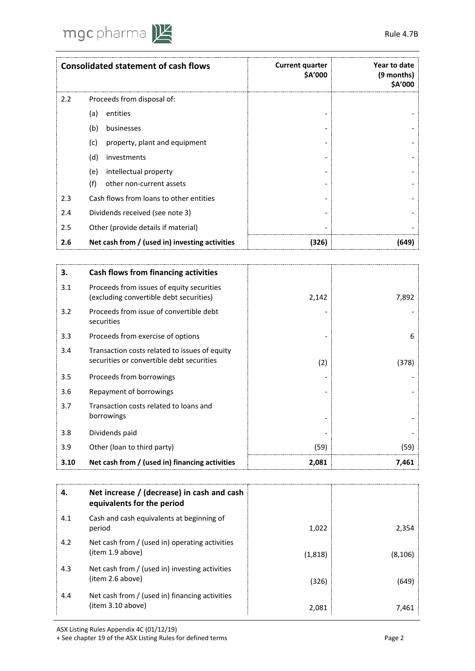

|     | <b>Consolidated statement of cash flows</b>    | <b>Current quarter</b><br>\$A'000 | Year to date<br>(9 months)<br>\$A'000 |
|-----|------------------------------------------------|-----------------------------------|---------------------------------------|
| 2.2 | Proceeds from disposal of:                     |                                   |                                       |
|     | entities<br>(a)                                |                                   |                                       |
|     | (b)<br>businesses                              |                                   |                                       |
|     | (c)<br>property, plant and equipment           |                                   |                                       |
|     | (d)<br>investments                             |                                   |                                       |
|     | intellectual property<br>(e)                   |                                   |                                       |
|     | (f)<br>other non-current assets                |                                   |                                       |
| 2.3 | Cash flows from loans to other entities        |                                   |                                       |
| 2.4 | Dividends received (see note 3)                |                                   |                                       |
| 2.5 | Other (provide details if material)            |                                   |                                       |
| 2.6 | Net cash from / (used in) investing activities | (326)                             | (649)                                 |

| З.   | <b>Cash flows from financing activities</b>                                                |       |       |
|------|--------------------------------------------------------------------------------------------|-------|-------|
| 3.1  | Proceeds from issues of equity securities<br>(excluding convertible debt securities)       | 2,142 | 7,892 |
| 3.2  | Proceeds from issue of convertible debt<br>securities                                      |       |       |
| 3.3  | Proceeds from exercise of options                                                          |       | 6     |
| 3.4  | Transaction costs related to issues of equity<br>securities or convertible debt securities | (2)   | (378) |
| 3.5  | Proceeds from borrowings                                                                   |       |       |
| 3.6  | Repayment of borrowings                                                                    |       |       |
| 3.7  | Transaction costs related to loans and<br>borrowings                                       |       |       |
| 3.8  | Dividends paid                                                                             |       |       |
| 3.9  | Other (loan to third party)                                                                | (59)  | (59)  |
| 3.10 | Net cash from / (used in) financing activities                                             | 2,081 | 7.461 |

| 4.  | Net increase / (decrease) in cash and cash<br>equivalents for the period |         |          |
|-----|--------------------------------------------------------------------------|---------|----------|
| 4.1 | Cash and cash equivalents at beginning of<br>period                      | 1,022   | 2,354    |
| 4.2 | Net cash from / (used in) operating activities<br>(item 1.9 above)       | (1,818) | (8, 106) |
| 4.3 | Net cash from / (used in) investing activities<br>(item 2.6 above)       | (326)   | (649)    |
| 4.4 | Net cash from / (used in) financing activities<br>(item 3.10 above)      | 2,081   | 7,461    |

ASX Listing Rules Appendix 4C (01/12/19)

+ See chapter 19 of the ASX Listing Rules for defined terms Page 2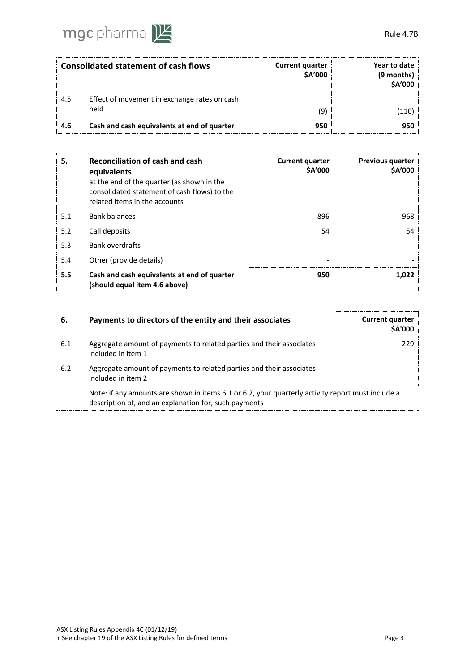

|     | <b>Consolidated statement of cash flows</b>  | <b>Current quarter</b><br>\$A'000 | Year to date<br>(9 months)<br><b>\$A'000</b> |
|-----|----------------------------------------------|-----------------------------------|----------------------------------------------|
| 4.5 | Effect of movement in exchange rates on cash |                                   |                                              |
|     | held                                         | ٥)                                |                                              |
| 4.6 | Cash and cash equivalents at end of quarter  | 950                               |                                              |

| 5.  | Reconciliation of cash and cash<br>equivalents<br>at the end of the quarter (as shown in the<br>consolidated statement of cash flows) to the<br>related items in the accounts | <b>Current quarter</b><br><b>SA'000</b> | <b>Previous quarter</b><br><b>SA'000</b> |
|-----|-------------------------------------------------------------------------------------------------------------------------------------------------------------------------------|-----------------------------------------|------------------------------------------|
| 5.1 | <b>Bank balances</b>                                                                                                                                                          | 896                                     | 968                                      |
| 5.2 | Call deposits                                                                                                                                                                 | 54                                      | 54                                       |
| 5.3 | <b>Bank overdrafts</b>                                                                                                                                                        |                                         |                                          |
| 5.4 | Other (provide details)                                                                                                                                                       |                                         |                                          |
| 5.5 | Cash and cash equivalents at end of quarter<br>(should equal item 4.6 above)                                                                                                  | 950                                     | 1.022                                    |

| Payments to directors of the entity and their associates                                   | <b>Current quarter</b><br><b>SA'000</b> |
|--------------------------------------------------------------------------------------------|-----------------------------------------|
| Aggregate amount of payments to related parties and their associates<br>included in item 1 | 229                                     |
| Aggregate amount of payments to related parties and their associates<br>included in item 2 |                                         |
|                                                                                            |                                         |

Note: if any amounts are shown in items 6.1 or 6.2, your quarterly activity report must include a description of, and an explanation for, such payments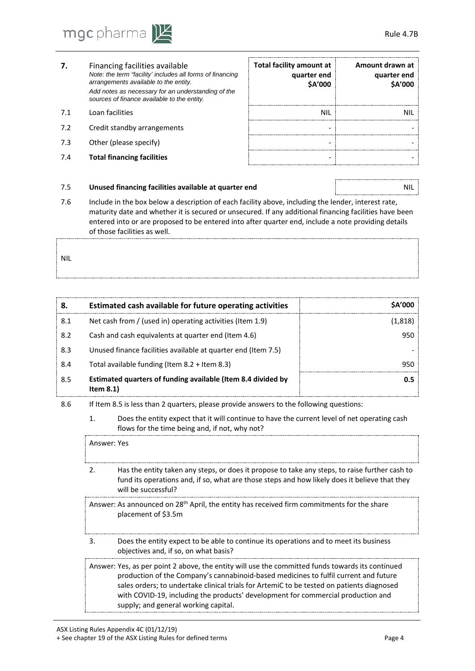

- **7.** Financing facilities available *Note: the term "facility' includes all forms of financing arrangements available to the entity. Add notes as necessary for an understanding of the sources of finance available to the entity.*
- 
- 7.2 Credit standby arrangements
- 7.3 Other (please specify)
- **7.4 Total financing facilities**

| 7.  | Financing facilities available<br>Note: the term "facility' includes all forms of financing<br>arrangements available to the entity.<br>Add notes as necessary for an understanding of the<br>sources of finance available to the entity. | Total facility amount at<br>quarter end<br><b>SA'000</b> | Amount drawn at<br>quarter end<br><b>SA'000</b> |
|-----|-------------------------------------------------------------------------------------------------------------------------------------------------------------------------------------------------------------------------------------------|----------------------------------------------------------|-------------------------------------------------|
| 7.1 | Loan facilities                                                                                                                                                                                                                           | NII                                                      |                                                 |
| 7.2 | Credit standby arrangements                                                                                                                                                                                                               |                                                          |                                                 |
| 7.3 | Other (please specify)                                                                                                                                                                                                                    |                                                          |                                                 |
| 7.4 | <b>Total financing facilities</b>                                                                                                                                                                                                         |                                                          |                                                 |

#### 7.5 **Unused financing facilities available at quarter end** NIL

7.6 Include in the box below a description of each facility above, including the lender, interest rate, maturity date and whether it is secured or unsecured. If any additional financing facilities have been entered into or are proposed to be entered into after quarter end, include a note providing details of those facilities as well.

NIL

| 8.  | Estimated cash available for future operating activities                     | <b>SA'000</b> |
|-----|------------------------------------------------------------------------------|---------------|
| 8.1 | Net cash from / (used in) operating activities (Item 1.9)                    | (1,818)       |
| 8.2 | Cash and cash equivalents at quarter end (Item 4.6)                          | 950           |
| 8.3 | Unused finance facilities available at quarter end (Item 7.5)                |               |
| 8.4 | Total available funding (Item 8.2 + Item 8.3)                                | 950           |
| 8.5 | Estimated quarters of funding available (Item 8.4 divided by<br>Item $8.1$ ) | 0.5           |

- 8.6 If Item 8.5 is less than 2 quarters, please provide answers to the following questions:
	- 1. Does the entity expect that it will continue to have the current level of net operating cash flows for the time being and, if not, why not?

Answer: Yes

2. Has the entity taken any steps, or does it propose to take any steps, to raise further cash to fund its operations and, if so, what are those steps and how likely does it believe that they will be successful?

Answer: As announced on 28<sup>th</sup> April, the entity has received firm commitments for the share placement of \$3.5m

3. Does the entity expect to be able to continue its operations and to meet its business objectives and, if so, on what basis?

Answer: Yes, as per point 2 above, the entity will use the committed funds towards its continued production of the Company's cannabinoid-based medicines to fulfil current and future sales orders; to undertake clinical trials for ArtemiC to be tested on patients diagnosed with COVID-19, including the products' development for commercial production and s. Does the entity expect to be able to<br>objectives and, if so, on what basis?<br>Panswer: Yes, as per point 2 above, the entity<br>production of the Company's canna<br>sales orders; to undertake clinical tr<br>with COVID-19, including